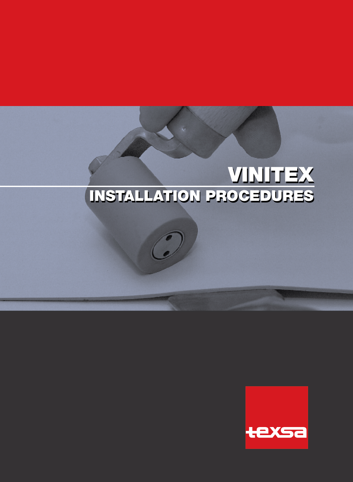### VINITEX INSTALLATION PROCEDURES VINITEX INSTALLATION PROCEDURES

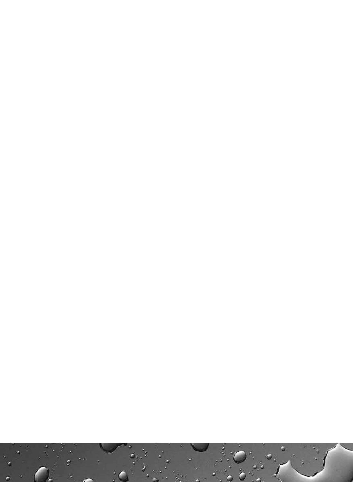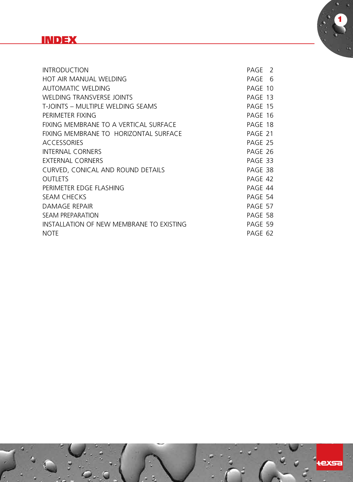

| <b>INTRODUCTION</b>                      | PAGE 2             |
|------------------------------------------|--------------------|
| HOT AIR MANUAL WELDING                   | PAGF 6             |
| AUTOMATIC WELDING                        | PAGE 10            |
| WEI DING TRANSVERSE JOINTS               | PAGF 13            |
| T-JOINTS - MULTIPLE WELDING SEAMS        | PAGF 15            |
| PERIMETER FIXING                         | PAGE 16            |
| FIXING MEMBRANE TO A VERTICAL SURFACE    | PAGF 18            |
| FIXING MEMBRANE TO HORIZONTAL SURFACE    | PAGF <sub>21</sub> |
| <b>ACCESSORIES</b>                       | PAGE 25            |
| <b>INTERNAL CORNERS</b>                  | PAGF <sub>26</sub> |
| <b>FXTERNAL CORNERS</b>                  | PAGE 33            |
| CURVED, CONICAL AND ROUND DETAILS        | PAGE 38            |
| <b>OUTLETS</b>                           | PAGE 42            |
| PERIMETER EDGE ELASHING                  | PAGF 44            |
| <b>SEAM CHECKS</b>                       | PAGE 54            |
| DAMAGE REPAIR                            | PAGF 57            |
| SFAM PREPARATION                         | PAGE 58            |
| INSTALLATION OF NEW MEMBRANE TO EXISTING | PAGE 59            |
| <b>NOTE</b>                              | PAGF <sub>62</sub> |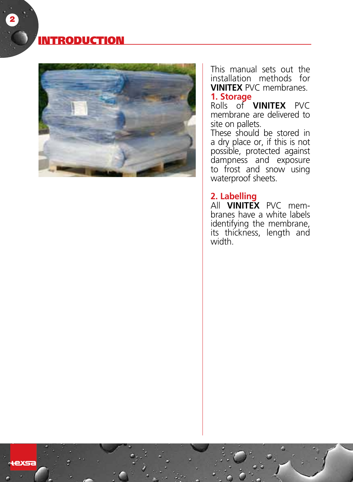## INTRODUction



This manual sets out the installation methods for **VINITEX** PVC membranes.

## **1. Storage**

Rolls of **VINITEX** PVC membrane are delivered to site on pallets.

These should be stored in a dry place or, if this is not possible, protected against dampness and exposure to frost and snow using waterproof sheets.

## **2. Labelling**

All **VINITEX** PVC mem branes have a white labels identifying the membrane, its thickness, length and width.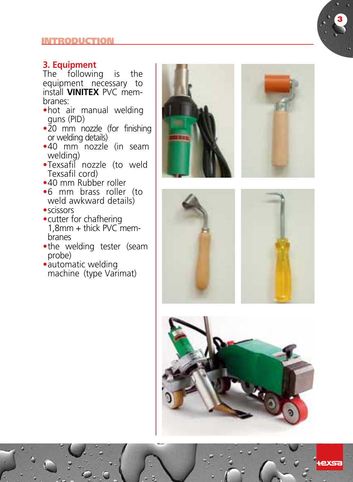#### **INTRODUCTION**

## **3. Equipment**

The following is the equipment necessary to install **VINITEX** PVC mem branes:

- •hot air manual welding guns (PID)
- • 20 mm nozzle (for finishing or welding details)
- •40 mm nozzle (in seam welding)
- • Texsafil nozzle (to weld Texsafil cord)
- •40 mm Rubber roller
- •6 mm brass roller (to weld awkward details)
- •scissors
- •cutter for chafhering 1,8mm + thick PVC mem branes
- •the welding tester (seam probe)
- •automatic welding machine (type Varimat)









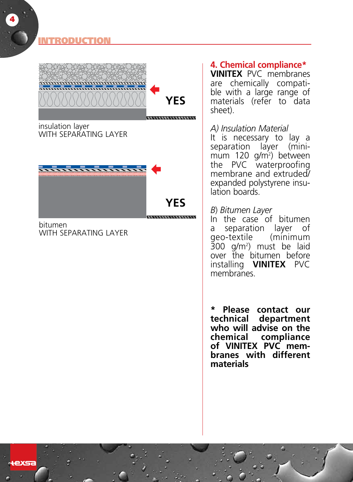4



bitumen with Separating Laye

### **4. Chemical compliance\***

**VINITEX** PVC membranes are chemically compati ble with a large range of materials (refer to data sheet).

#### *A) Insulation Material*

It is necessary to lay a separation layer (mini mum 120 g/m 2 ) between the PVC waterproofing membrane and extruded / expanded polystyrene insu lation boards.

#### *B*) *Bitumen Layer*

In the case of bitumen a separation layer of<br>geo-textile (minimum geo-textile 300 g/m 2 ) must be laid over the bitumen before installing **VINITEX** PVC membranes.

**\* Please contact our technical department who will advise on the chemical compliance of VINITEX PVC mem branes with different materials**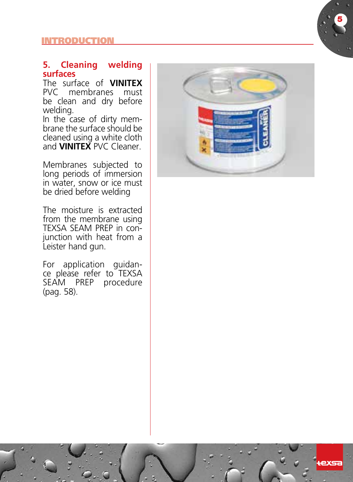#### **INTRODUCTION**

### **5. Cleaning welding surfaces**

The surface of **VINITEX**  PVC membranes must be clean and dry before welding.

In the case of dirty mem brane the surface should be cleaned using a white cloth and **VINITEX** PVC Cleaner.

Membranes subjected to long periods of immersion in water, snow or ice must be dried before welding

The moisture is extracted from the membrane using TEXSA Seam Prep in con junction with heat from a Leister hand gun.

For application guidan ce please refer to TEXSA<br>SEAM PREP procedure (pag. 58).



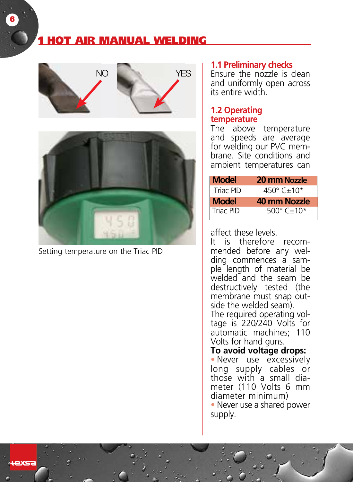## **HOT AIR MANUAL WELDING**





Setting temperature on the Triac PID

#### **1.1 Preliminary checks**

Ensure the nozzle is clean and uniformly open across its entire width.

#### **1.2 Operating temperature**

The above temperature and speeds are average for welding our PVC membrane. Site conditions and ambient temperatures can

| <b>Model</b> | 20 mm Nozzle                         |  |
|--------------|--------------------------------------|--|
| Triac PID    | 450 $^{\circ}$ C $\pm$ 10 $^{\star}$ |  |
| <b>Model</b> | 40 mm Nozzle                         |  |
|              |                                      |  |

affect these levels.

It is therefore recommended before any welding commences a sample length of material be welded and the seam be destructively tested (the membrane must snap outside the welded seam).

The required operating voltage is 220/240 Volts for automatic machines; 110 Volts for hand guns.

#### **To avoid voltage drops:**

• Never use excessively long supply cables or those with a small diameter (110 Volts 6 mm diameter minimum)

• Never use a shared power supply.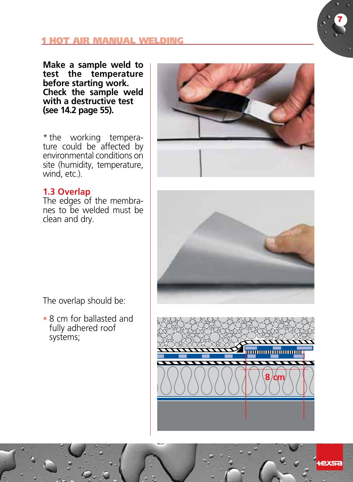

#### 1 HOT AIR MANUAL WELDING

**Make a sample weld to test the temperature before starting work. Check the sample weld with a destructive test (see 14.2 page 55).**

\* the working temperature could be affected by environmental conditions on site (humidity, temperature, wind, etc.).

## **1.3 Overlap**

The edges of the membranes to be welded must be clean and dry.





The overlap should be:

• 8 cm for ballasted and fully adhered roof systems;

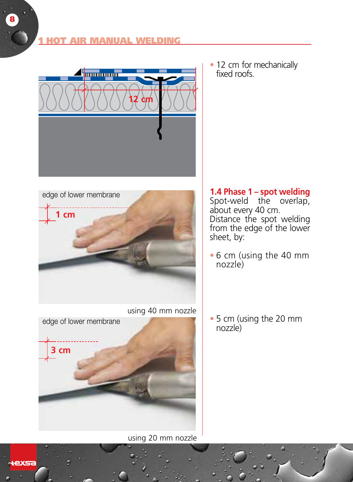



using 40 mm nozzle



using 20 mm nozzle

• 12 cm for mechanically fixed roofs.

**1.4 Phase 1 – spot welding** Spot-weld the overlap. about every 40 cm. Distance the spot welding from the edge of the lower sheet, by:

- 6 cm (using the 40 mm nozzle)
- 5 cm (using the 20 mm nozzle)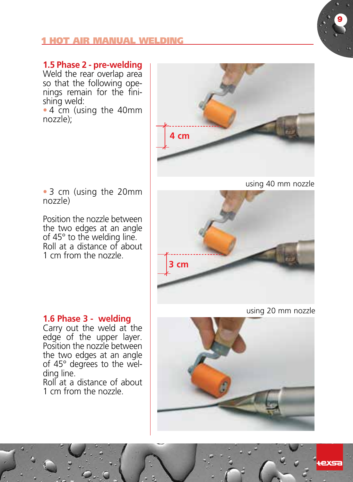

#### 1 HOT AIR MANUAL WELDING

**1.5 Phase 2 - pre-welding**

Weld the rear overlap area so that the following openings remain for the finishing weld:

• 4 cm (using the 40mm nozzle);



using 40 mm nozzle

• 3 cm (using the 20mm nozzle)

Position the nozzle between the two edges at an angle of 45° to the welding line. Roll at a distance of about 1 cm from the nozzle.

#### **1.6 Phase 3 - welding**

Carry out the weld at the edge of the upper layer. Position the nozzle between the two edges at an angle of 45° degrees to the welding line. Roll at a distance of about

1 cm from the nozzle.



using 20 mm nozzle

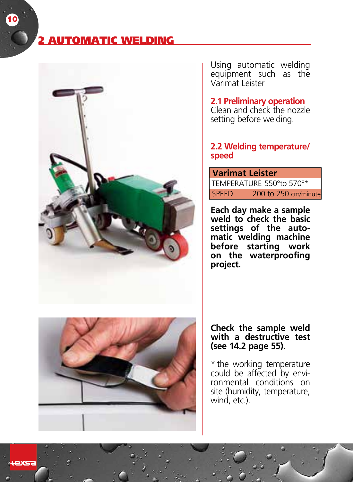## **AUTOMATIC WELDING**

10





Using automatic welding equipment such as the Varimat Leister

## **2.1 Preliminary operation**

Clean and check the nozzle setting before welding.

#### **2.2 Welding temperature/ speed**

 **Varimat Leister** TEMPERATURE 550°to 570°\* SPEED 200 to 250 cm/minute

**Each day make a sample weld to check the basic settings of the automatic welding machine before starting work on the waterproofing project.** 

#### **Check the sample weld with a destructive test (see 14.2 page 55).**

\* the working temperature could be affected by environmental conditions on site (humidity, temperature, wind, etc.).

exsa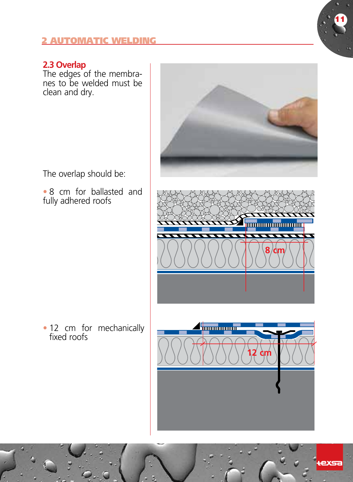## 2 AUTOMATIC WELDING

## **2.3 Overlap**

The edges of the membranes to be welded must be clean and dry.



The overlap should be:

• 8 cm for ballasted and fully adhered roofs



• 12 cm for mechanically fixed roofs



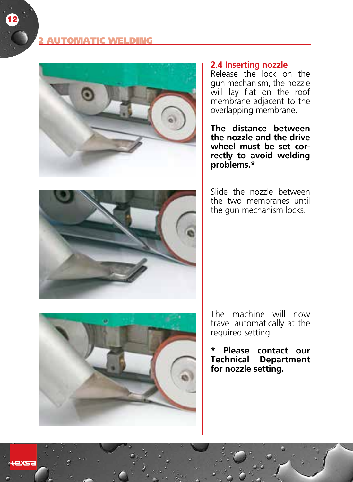

## **2.4 Inserting nozzle**

Release the lock on the gun mechanism, the nozzle will lay flat on the roof membrane adjacent to the overlapping membrane.

**The distance between the nozzle and the drive wheel must be set correctly to avoid welding problems.\***

Slide the nozzle between the two membranes until the gun mechanism locks.





The machine will now travel automatically at the required setting

**\* Please contact our Technical Department for nozzle setting.**

exsa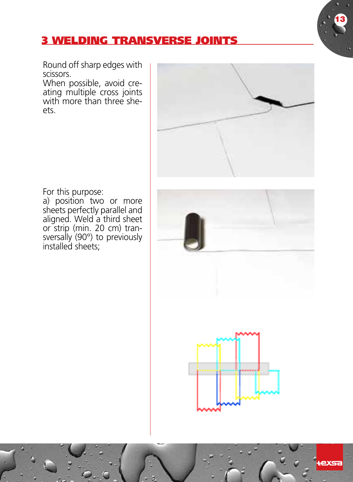

## 3 WELDING TRANSVERSE JOINTS

Round off sharp edges with scissors.

When possible, avoid creating multiple cross joints with more than three sheets.



For this purpose:

a) position two or more sheets perfectly parallel and aligned. Weld a third sheet or strip (min. 20 cm) transversally (90°) to previously installed sheets;

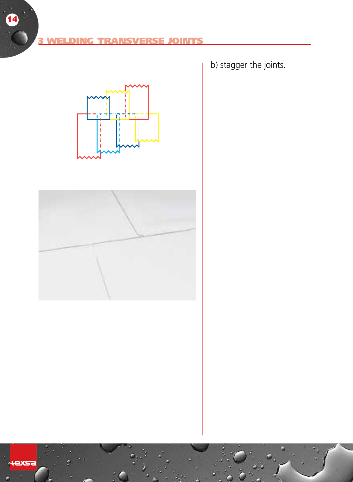## 3 WELDING TRANSVERSE JOINTS





b) stagger the joints.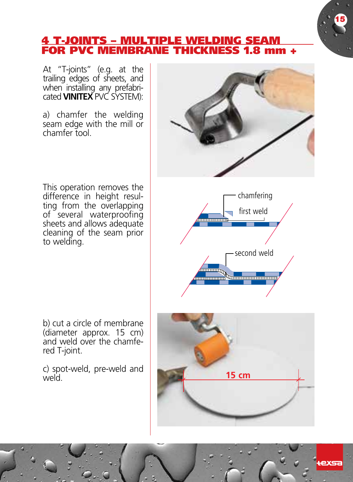

## 4 T-JOINTS – MULTIPLE WELDING SEAM **FOR PVC MEMBRANE THICKNESS 1.8 mm +**

At "T-joints" (e.g. at the trailing edges of sheets, and when installing any prefabricated **VINITEX** PVC System):

a) chamfer the welding seam edge with the mill or chamfer tool.

This operation removes the difference in height resulting from the overlapping of several waterproofing sheets and allows adequate cleaning of the seam prior to welding.

b) cut a circle of membrane (diameter approx. 15 cm) and weld over the chamfered T-joint.

c) spot-weld, pre-weld and<br>weld

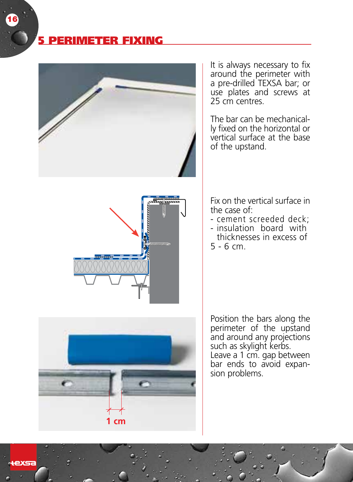## 5 PERIMETER FIXING

16



It is always necessary to fix around the perimeter with a pre-drilled TEXSA bar; or use plates and screws at 25 cm centres.

The bar can be mechanically fixed on the horizontal or vertical surface at the base of the upstand.

Fix on the vertical surface in the case of:

- cement screeded deck;
- insulation board with thicknesses in excess of 5 - 6 cm.

Position the bars along the perimeter of the upstand and around any projections such as skylight kerbs. Leave a 1 cm. gap between bar ends to avoid expansion problems.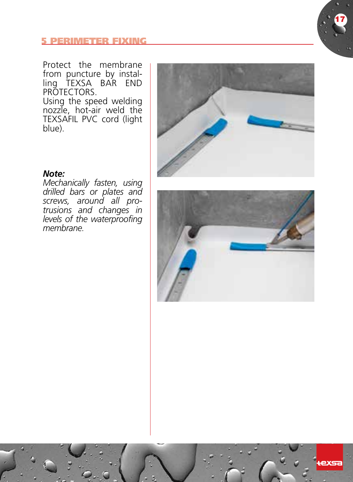## <u>S PERIMETER FIXING</u>



Protect the membrane from puncture by instal ling TEXSA BAR END **PROTECTORS** 

Using the speed welding nozzle, hot-air weld the TEXSAFI L PVC cord (light blue).



## *Note:*

*Mechanically fasten, using drilled bars or plates and screws, around all pro trusions and changes in levels of the waterproofing membrane.* 



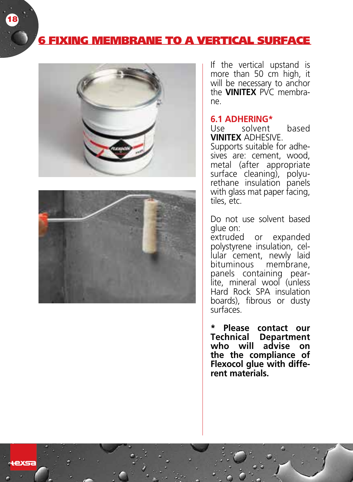## 6 FIXING MEMBRANE TO A VERTICAL SURFACE





If the vertical upstand is more than 50 cm high, it will be necessary to anchor the **VINITEX** PVC membrane.

# **6.1 ADHERING\***

solvent based **VINITEX** ADHESIVE.

Supports suitable for adhesives are: cement, wood, metal (after appropriate surface cleaning), polyurethane insulation panels with glass mat paper facing. tiles, etc.

Do not use solvent based glue on:

extruded or expanded polystyrene insulation, cellular cement, newly laid<br>bituminous membrane. membrane, panels containing pearlite, mineral wool (unless Hard Rock SPA insulation boards), fibrous or dusty surfaces.

**\* Please contact our Technical Department who will advise on the the compliance of Flexocol glue with different materials.**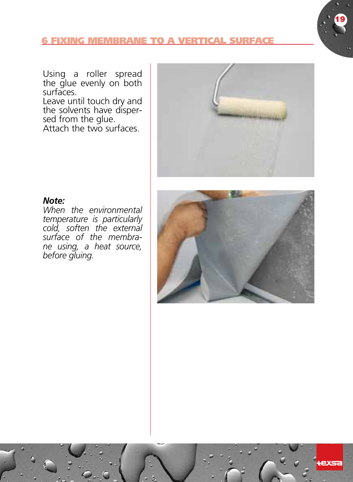



Using a roller spread the glue evenly on both surfaces.

Leave until touch dry and the solvents have dispersed from the glue.

Attach the two surfaces.



#### *Note:*

*When the environmental temperature is particularly cold, soften the external surface of the membrane using, a heat source, before gluing.*

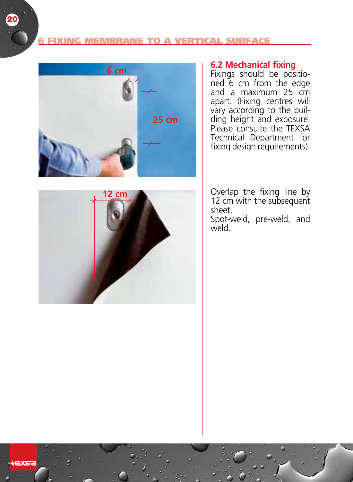#### **MEMBRANE TO A VERTICAL SURFACE**





Fixings should be positioned 6 cm from the edge and a maximum 25 cm apart. (Fixing centres will vary according to the building height and exposure. Please consulte the TEXSA Technical Department for fixing design requirements).

Overlap the fixing line by 12 cm with the subsequent sheet.

Spot-weld, pre-weld, and weld.

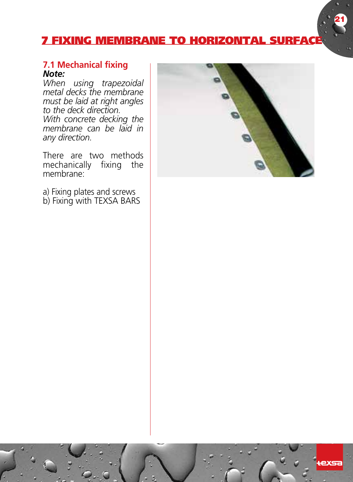## 7 FIXING MEMBRANE TO HORIZONTAL SURFACE

### **7.1 Mechanical fixing** *Note:*

*When using trapezoidal metal decks the membrane must be laid at right angles to the deck direction. With concrete decking the membrane can be laid in* 

*any direction.* There are two methods

mechanically fixing the membrane:

a) Fixing plates and screws b) Fixing with TEXSA BARS

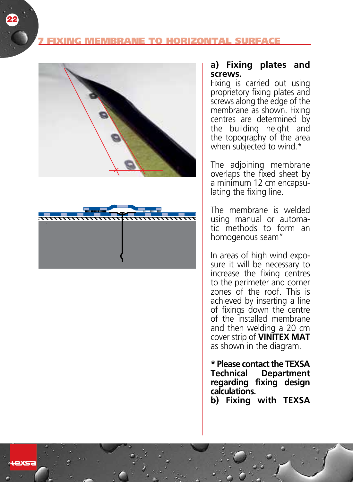#### **MEMBRANE TO HORIZONTAL SURFACE**





#### **a) Fixing plates and screws.**

Fixing is carried out using proprietory fixing plates and screws along the edge of the membrane as shown. Fixing centres are determined by the building height and the topography of the area when subjected to wind.\*

The adjoining membrane overlaps the fixed sheet by a minimum 12 cm encapsu lating the fixing line.

The membrane is welded using manual or automatic methods to form an homogenous seam"

In areas of high wind exposure it will be necessary to increase the fixing centres to the perimeter and corner zones of the roof. This is achieved by inserting a line of fixings down the centre of the installed membrane and then welding a 20 cm cover strip of **VINITEX MAT** as shown in the diagram.

**\* Please contact the TEXSA Technical Department regarding fixing design calculations. b) Fixing with TEXSA**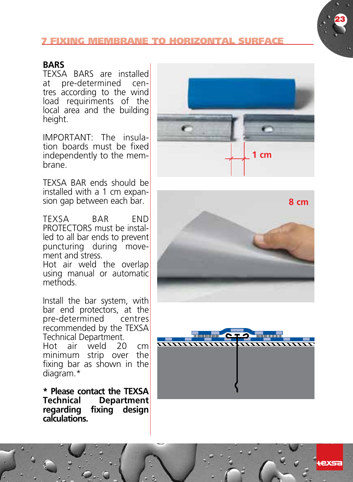#### 7 FIXING MEMBRANE TO HORIZONTAL SURFACE

#### **BARS**

TEXSA BARS are installed at pre-determined centres according to the wind load requiriments of the local area and the building height.

IMPORTANT: The insulation boards must be fixed independently to the membrane.

TEXSA BAR ends should be installed with a 1 cm expansion gap between each bar.

TEXSA BAR END PROTECTORS must be installed to all bar ends to prevent puncturing during movement and stress.

Hot air weld the overlap using manual or automatic methods.

Install the bar system, with bar end protectors, at the<br>pre-determined centres pre-determined recommended by the TEXSA Technical Department.

Hot air weld 20 cm minimum strip over the fixing bar as shown in the diagram.\*

**\* Please contact the TEXSA Department regarding fixing design calculations.**





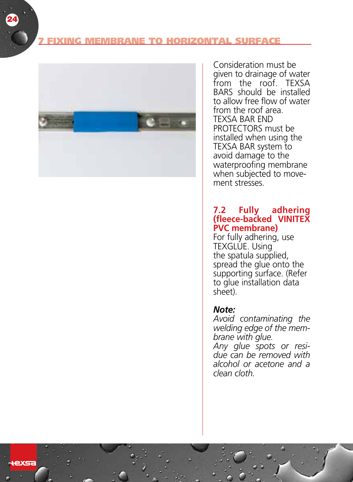#### **IG MEMBRANE TO HORIZONTAL SURFACE**



Consideration must be given to drainage of water from the roof. TEXSA BARS should be installed to allow free flow of water from the roof area. TEXSA BAR END PROTECTORS must be installed when using the TEXSA BAR system to avoid damage to the waterproofing membrane when subjected to movement stresses.

#### **7.2 Fully adhering (fleece-backed VINITEX PVC membrane)**

For fully adhering, use TEXGLUE. Using the spatula supplied, spread the glue onto the supporting surface. (Refer to glue installation data sheet).

#### *Note:*

*Avoid contaminating the welding edge of the membrane with glue.* 

*Any glue spots or residue can be removed with alcohol or acetone and a clean cloth.*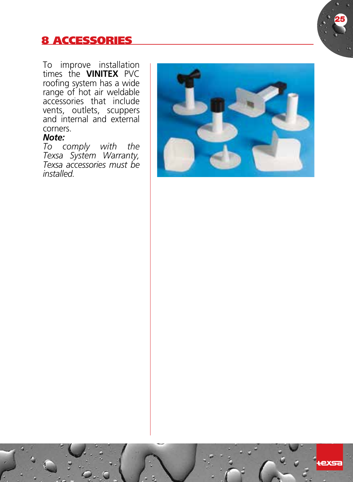# <u>8 ACCESSORIES</u>

25

To improve installation times the **VINITEX** PVC roofing system has a wide range of hot air weldable accessories that include vents, outlets, scuppers and internal and external corners.

#### *Note:*

*To comply with the Texsa System Warranty, Texsa accessories must be installed.*

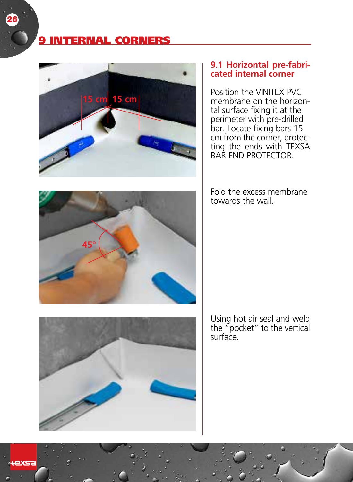## 9 INTERNAL CORNERS





Position the VINITEX PVC membrane on the horizontal surface fixing it at the perimeter with pre-drilled bar. Locate fixing bars 15 cm from the corner, protecting the ends with TEXSA BAR END PROTECTOR.

Fold the excess membrane towards the wall.





Using hot air seal and weld the "pocket" to the vertical surface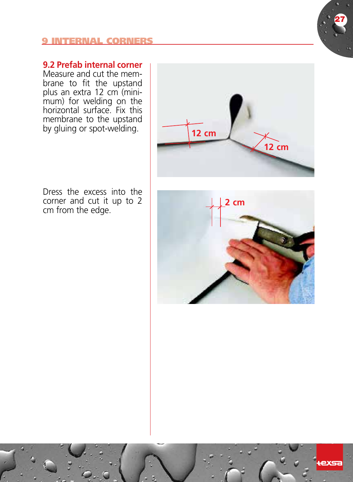#### 9 INTERNAL CORNERS

## **9.2 Prefab internal corner**

Measure and cut the membrane to fit the upstand plus an extra 12 cm (minimum) for welding on the horizontal surface. Fix this membrane to the upstand by gluing or spot-welding.



Dress the excess into the corner and cut it up to 2 cm from the edge.

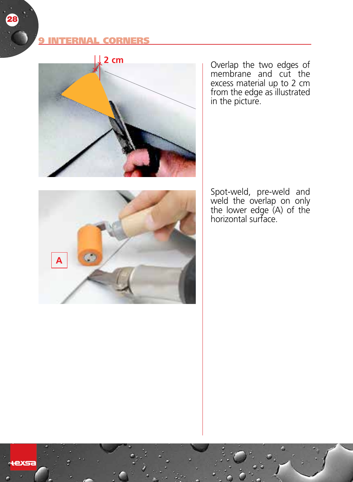#### <u>9 INTERNAL CORNER</u>

28



Overlap the two edges of membrane and cut the excess material up to 2 cm from the edge as illustrated in the picture.



Spot-weld, pre-weld and weld the overlap on only the lower edge (A) of the horizontal surface.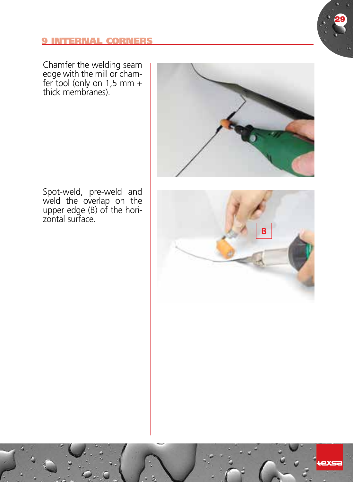#### 9 INTERNAL CORNERs

Chamfer the welding seam edge with the mill or chamfer tool (only on 1,5 mm + thick membranes).



Spot-weld, pre-weld and weld the overlap on the upper edge (B) of the hori-zontal surface.

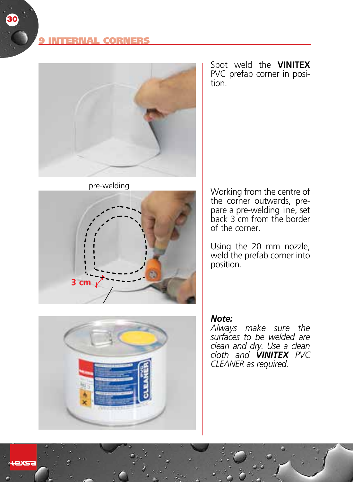#### *NTERNAL CORNERS*

30



pre-welding



Spot weld the **VINITEX**  PVC prefab corner in position.

Working from the centre of the corner outwards, pre-pare a pre-welding line, set back 3 cm from the border of the corner.

Using the 20 mm nozzle, weld the prefab corner into position.

#### *Note:*

*Always make sure the surfaces to be welded are clean and dry. Use a clean cloth and VINITEX PVC CLEANER as required.*

exsa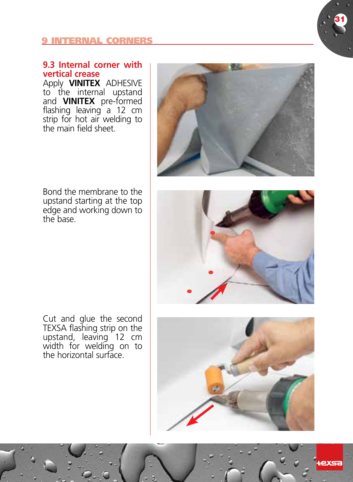#### <u>9 INTERNAL CORNER</u> s

#### **9.3 Internal corner with vertical crease**

Apply **VINITEX** ADHESIVE to the internal upstand and **VINITEX** pre-formed flashing leaving a 12 cm strip for hot air welding to the main field sheet.



Bond the membrane to the upstand starting at the top edge and working down to the base.



Cut and glue the second TEXSA flashing strip on the upstand, leaving 12 cm width for welding on to the horizontal surface.

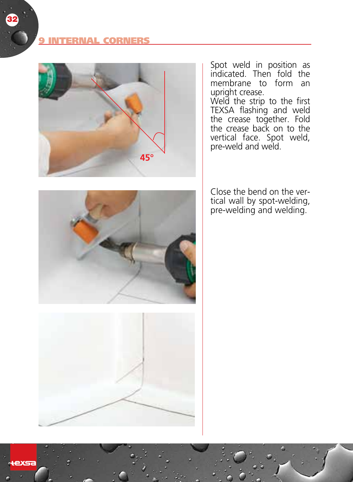

Spot weld in position as indicated. Then fold the membrane to form an upright crease.

Weld the strip to the first TEXSA flashing and weld the crease together. Fold the crease back on to the vertical face. Spot weld, pre-weld and weld.





Close the bend on the vertical wall by spot-welding, pre-welding and welding.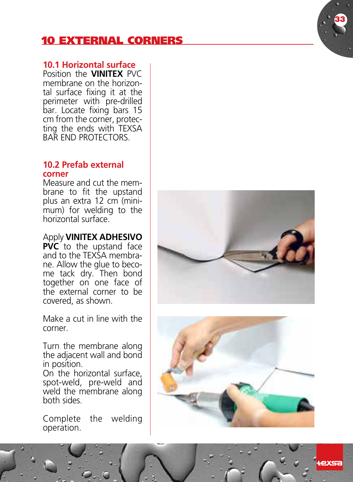#### **10.1 Horizontal surface**

Position the **VINITEX** PVC membrane on the horizon tal surface fixing it at the perimeter with pre-drilled bar. Locate fixing bars 15 cm from the corner, protec ting the ends with TEXSA BAR END PROTECTORS.

#### **10.2 Prefab external corner**

Measure and cut the mem brane to fit the upstand plus an extra 12 cm (mini mum) for welding to the horizontal surface

## Apply **VINITEX ADHESIVO**

**PVC** to the upstand face and to the TEXSA membra ne. Allow the glue to beco me tack dry. Then bond together on one face of the external corner to be covered, as shown.

Make a cut in line with the corner.

Turn the membrane along the adjacent wall and bond in position.

On the horizontal surface, spot-weld, pre-weld and weld the membrane along both sides.

Complete the welding operation.



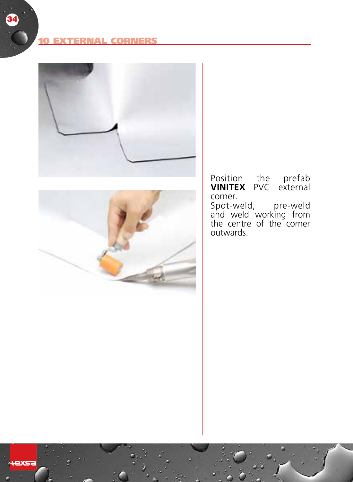### EXTERNAL CORNERS

34





Position the prefab **VINITEX** PVC external corner.

Spot-weld, pre-weld and weld working from the centre of the corner outwards.

texsa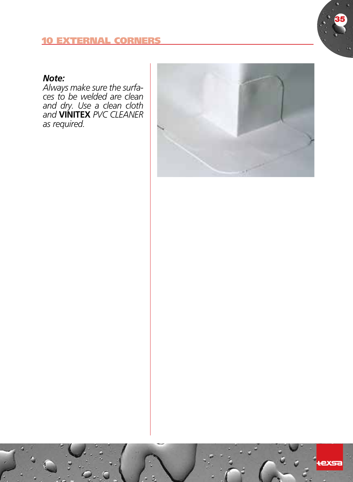

## *Note:*

*Always make sure the surfa ces to be welded are clean and dry. Use a clean cloth and* **VINITEX** *PVC CLEANER as required.*

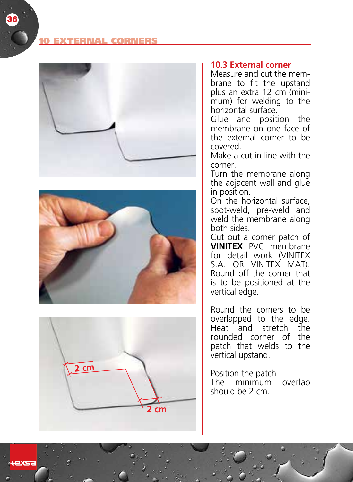36







#### **10.3 External corner**

Measure and cut the mem brane to fit the upstand plus an extra 12 cm (mini mum) for welding to the horizontal surface.

Glue and position the membrane on one face of the external corner to be covered.

Make a cut in line with the corner.

Turn the membrane along the adjacent wall and glue in position.

On the horizontal surface, spot-weld, pre-weld and weld the membrane along both sides.

Cut out a corner patch of **VINITEX** PVC membrane for detail work (VINITEX S.A. OR VINITEX MAT). Round off the corner that is to be positioned at the vertical edge.

Round the corners to be overlapped to the edge. Heat and stretch the rounded corner of the patch that welds to the vertical upstand.

Position the patch The minimum overlap should be 2 cm.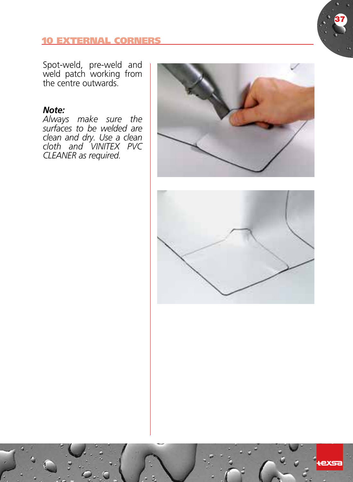Spot-weld, pre-weld and weld patch working from the centre outwards.

## *Note:*

*Always make sure the surfaces to be welded are clean and dry. Use a clean cloth and VINITEX PVC CLEANER as required.*



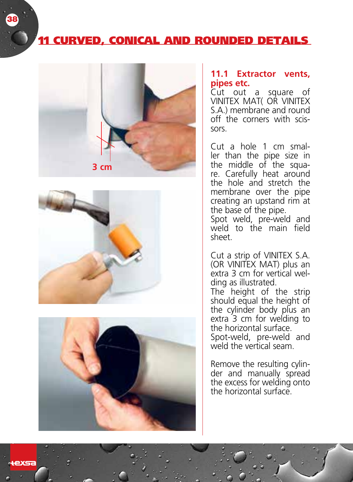## 11 CURVED, CONICAL AND ROUNDED DETAILS







#### **11.1 Extractor vents, pipes etc.**

Cut out a square of VINITEX MAT( OR VINITEX S.A.) membrane and round off the corners with scissors.

Cut a hole 1 cm smaller than the pipe size in the middle of the square. Carefully heat around the hole and stretch the membrane over the pipe creating an upstand rim at the base of the pipe.

Spot weld, pre-weld and weld to the main field sheet.

Cut a strip of VINITEX S.A. (OR VINITEX MAT) plus an extra 3 cm for vertical welding as illustrated.

The height of the strip should equal the height of the cylinder body plus an extra 3 cm for welding to the horizontal surface.

Spot-weld, pre-weld and weld the vertical seam.

Remove the resulting cylinder and manually spread the excess for welding onto the horizontal surface.

exsa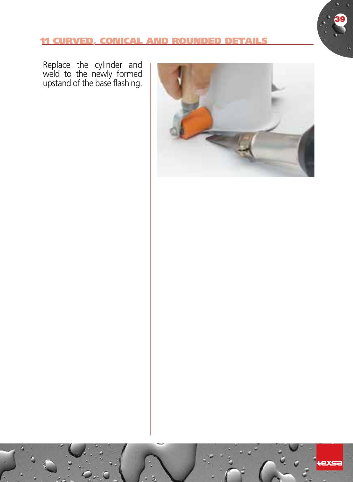#### 11 CURVED, CONICAL AND ROUNDED DETAILS

Replace the cylinder and weld to the newly formed upstand of the base flashing.

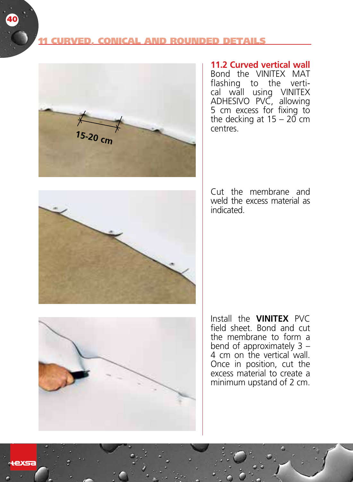#### **RVED, CONICAL AND ROUNDED DETAILS**



**11.2 Curved vertical wall** Bond the VINITEX MAT flashing to the vertical wall using VINITEX ADHESIVO PVC, allowing 5 cm excess for fixing to the decking at  $15 - 20$  cm centres.



Cut the membrane and weld the excess material as indicated.



Install the **VINITEX** PVC field sheet. Bond and cut the membrane to form a bend of approximately 3 – 4 cm on the vertical wall. Once in position, cut the excess material to create a minimum upstand of 2 cm.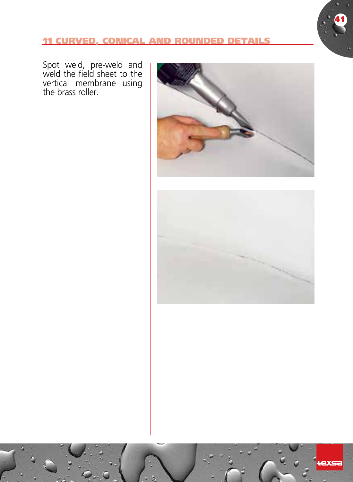## 11 CURVED, CONICAL AND ROUNDED DETAILS

Spot weld, pre-weld and weld the field sheet to the vertical membrane using the brass roller.



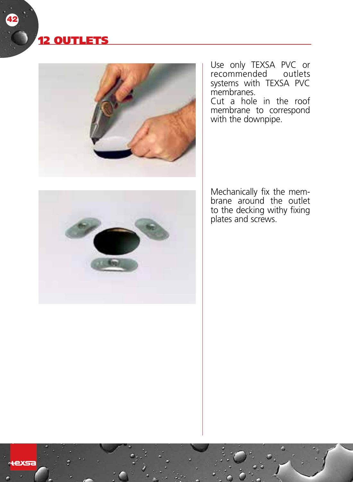# 12 OUTLETs

42



Use only TEXSA PVC or recommended outlets systems with TEXSA P membranes.

Cut a hole in the roof membrane to correspond with the downpipe.



Mechanically fix the membrane around the outlet to the decking withy fixing plates and screws.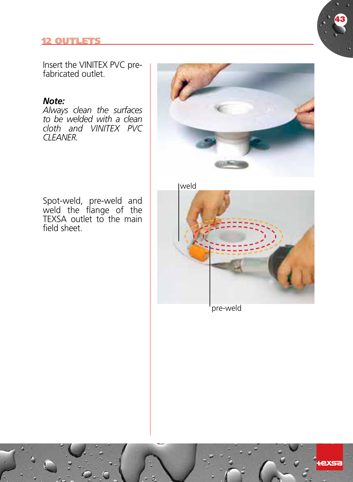#### 12 OUTLETs



Insert the VINITEX PVC prefabricated outlet.

## *Note:*

*Always clean the surfaces to be welded with a clean cloth and VINITEX pvc CLEANER.*

Spot-weld, pre-weld and weld the flange of the TEXSA outlet to the main field sheet.



weld



pre-weld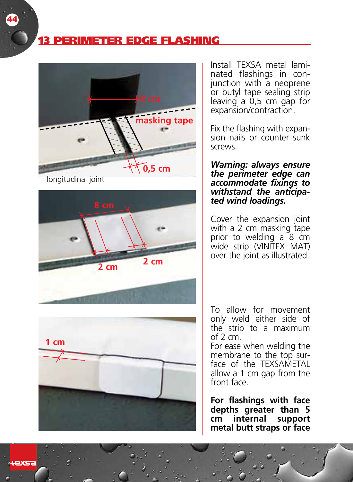





Install TEXSA metal laminated flashings in conjunction with a neoprene or butyl tape sealing strip leaving a 0,5 cm gap for expansion/contraction.

Fix the flashing with expansion nails or counter sunk screws.

*Warning: always ensure the perimeter edge can accommodate fixings to withstand the anticipated wind loadings.*

Cover the expansion joint with a 2 cm masking tape prior to welding  $a \overline{8}$  cm wide strip (VINITEX MAT) over the joint as illustrated.

To allow for movement only weld either side of the strip to a maximum of  $2 \text{ cm}$ .

For ease when welding the membrane to the top surface of the TEXSAMETAL allow a 1 cm gap from the front face.

**For flashings with face depths greater than 5 cm internal support metal butt straps or face**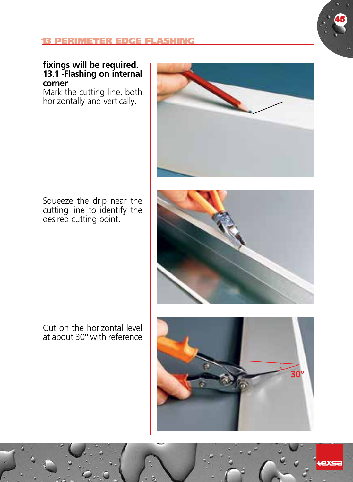



Mark the cutting line, both horizontally and vertically.



Squeeze the drip near the cutting line to identify the desired cutting point.



Cut on the horizontal level at about 30° with reference

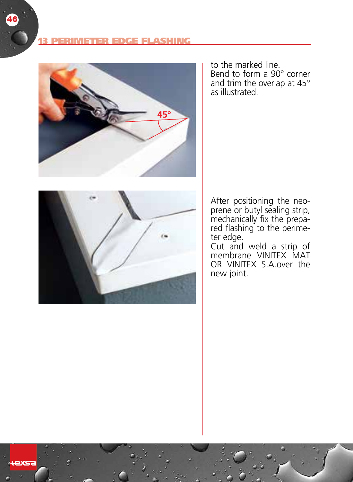#### ETER EDGE EI ASHING



to the marked line. Bend to form a 90° corner and trim the overlap at 45° as illustrated.



After positioning the neo-prene or butyl sealing strip, mechanically fix the prepared flashing to the perimeter edge.

Cut and weld a strip of membrane VINITEX MAT OR VINITEX S.A.over the new joint.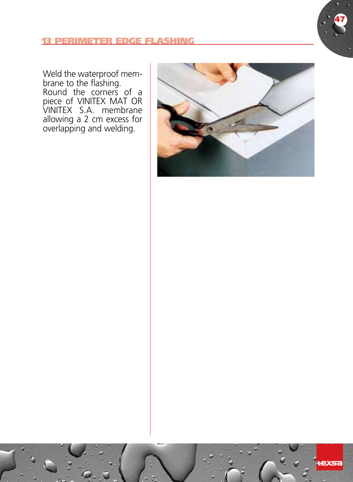

Weld the waterproof mem brane to the flashing. Round the corners of a piece of VINITEX MAT OR VINITEX S.A. membrane allowing a 2 cm excess for overlapping and welding.

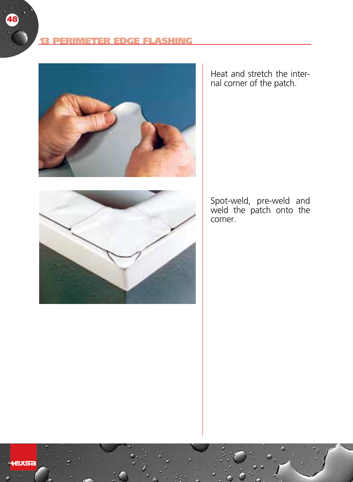



Heat and stretch the internal corner of the patch.

Spot-weld, pre-weld and weld the patch onto the corner.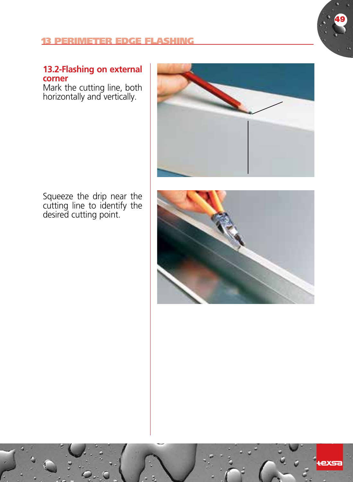

#### **13.2-Flashing on external corner**

Mark the cutting line, both horizontally and vertically.



Squeeze the drip near the cutting line to identify the desired cutting point.

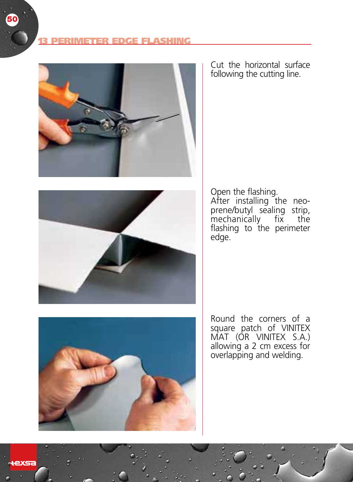

Cut the horizontal surface following the cutting line.



Open the flashing. After installing the neo-prene/butyl sealing strip, mechanically fix the flashing to the perimeter edge.



Round the corners of a square patch of VINITEX MAT (OR VINITEX S.A.) allowing a 2 cm excess for overlapping and welding.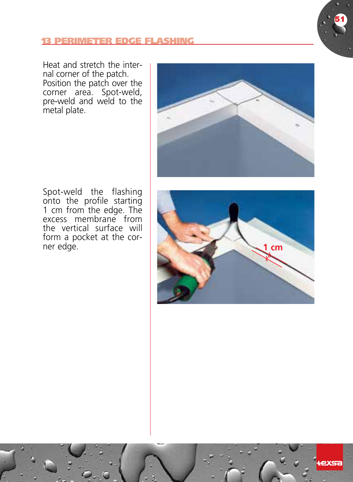

Heat and stretch the internal corner of the patch. Position the patch over the corner area. Spot-weld, pre-weld and weld to the metal plate.



Spot-weld the flashing onto the profile starting 1 cm from the edge. The excess membrane from the vertical surface will form a pocket at the corner edge.

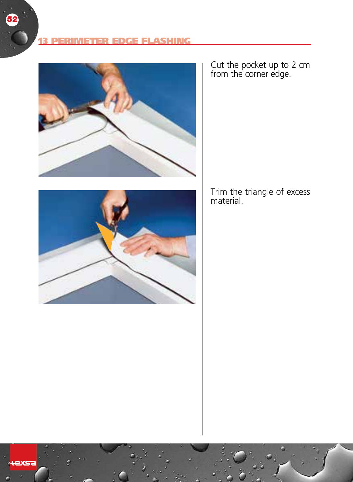



Cut the pocket up to 2 cm from the corner edge.

Trim the triangle of excess material.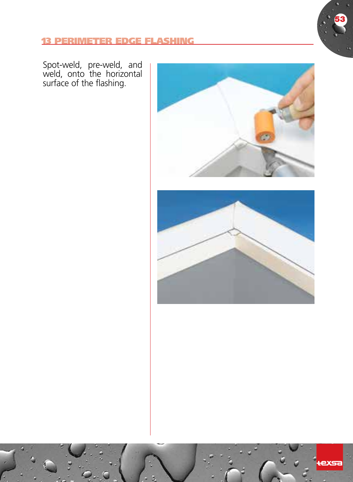## <u>13 PERIMETER EDGE FLASHING</u>

Spot-weld, pre-weld, and weld, onto the horizontal surface of the flashing.



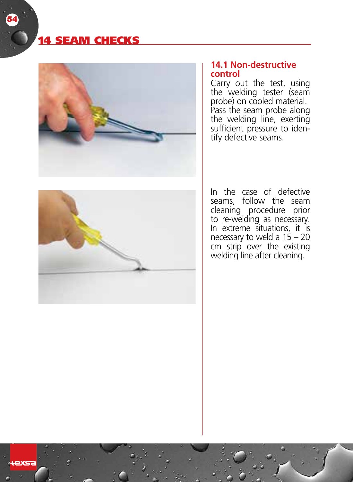# 14 SEAM CHECKS





Carry out the test, using the welding tester (seam probe) on cooled material. Pass the seam probe along the welding line, exerting sufficient pressure to identify defective seams.



In the case of defective seams, follow the seam cleaning procedure prior to re-welding as necessary. In extreme situations, it is necessary to weld a 15 – 20 cm strip over the existing welding line after cleaning.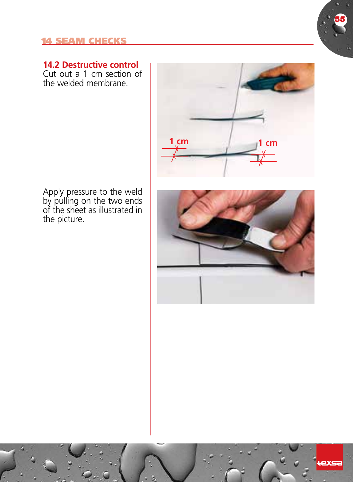## 14 SEAM CHECKS



## **14.2 Destructive control**

Cut out a 1 cm section of the welded membrane.



Apply pressure to the weld by pulling on the two ends of the sheet as illustrated in the picture.

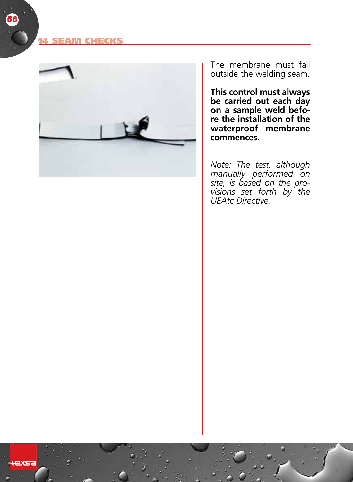### <u>14 SEAM CHECKS</u>

56



The membrane must fail outside the welding seam .

**This control must always be carried out each day on a sample weld befo re the installation of the waterproof membrane commences.**

*Note: The test, although manually performed on site, is based on the pro visions set forth by the UEAtc Directive .*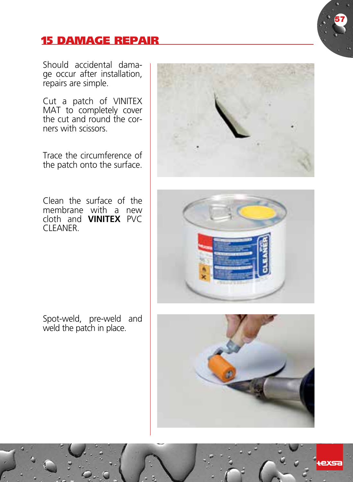## 15 DAMAGE REPAIR

Should accidental damage occur after installation, repairs are simple.

Cut a patch of VINITEX MAT to completely cover the cut and round the corners with scissors.

Trace the circumference of the patch onto the surface.

Clean the surface of the membrane with a new cloth and **VINITEX** PVC CI FANFR

Spot-weld, pre-weld and weld the patch in place.





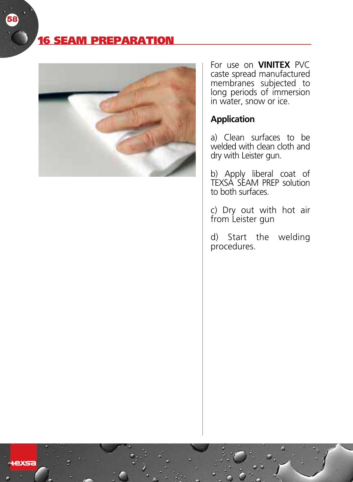# 16 SEAM PREPARATION

58



For use on **VINITEX** PVC caste spread manufactured membranes subjected to long periods of immersion in water, snow or ice.

## **Application**

a) Clean surfaces to be welded with clean cloth and dry with Leister gun.

b) Apply liberal coat of TEXSA SEAM PREP solution to both surfaces.

c) Dry out with hot air from Leister gun

d) Start the welding procedures.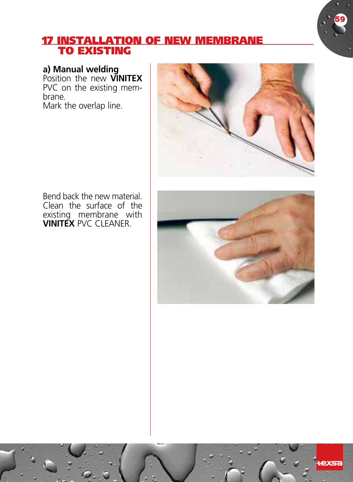

## 17 INSTALLATION OF NEW MEMBRANE TO EXISTING

## **a) Manual welding**

Position the new **VINITEX**  pvc on the existing membrane. Mark the overlap line.



Bend back the new material. Clean the surface of the existing membrane with **VINITEX** PVC Cleaner.

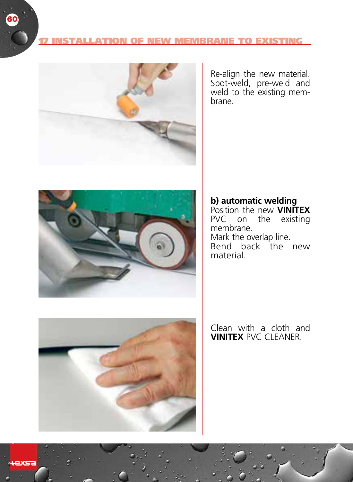#### **INSTALLATION OF NEW MEMBRANE TO EXISTING**



Re-align the new material. Spot-weld, pre-weld and weld to the existing membrane.



**b) automatic welding**  Position the new **VINITEX**  PVC on the existing membrane. Mark the overlap line. Bend back the new material.



Clean with a cloth and **VINITEX** PVC Cleaner.

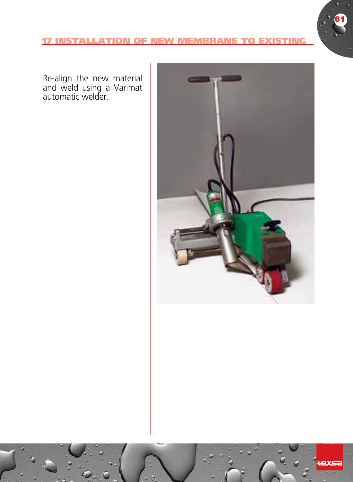## **17 INSTALLATION OF NEW MEMBRANE TO**

61

Re-align the new material and weld using a Varimat automatic welder.